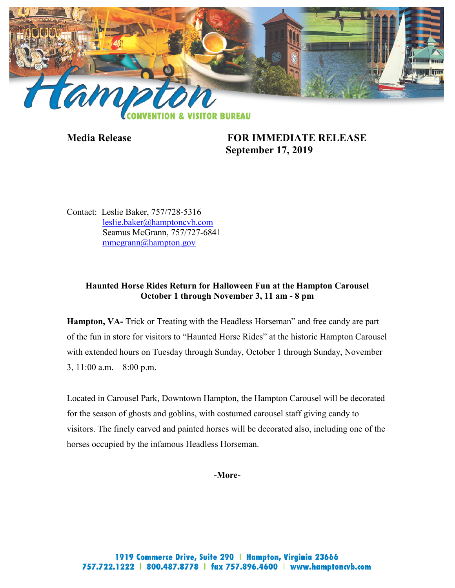

**Media Release FOR IMMEDIATE RELEASE September 17, 2019**

Contact: Leslie Baker, 757/728-5316 [leslie.baker@hamptoncvb.com](mailto:leslie.baker@hamptoncvb.com) Seamus McGrann, 757/727-6841 [mmcgrann@hampton.gov](mailto:mmcgrann@hampton.gov)

# **Haunted Horse Rides Return for Halloween Fun at the Hampton Carousel October 1 through November 3, 11 am - 8 pm**

**Hampton, VA-** Trick or Treating with the Headless Horseman" and free candy are part of the fun in store for visitors to "Haunted Horse Rides" at the historic Hampton Carousel with extended hours on Tuesday through Sunday, October 1 through Sunday, November 3, 11:00 a.m. – 8:00 p.m.

Located in Carousel Park, Downtown Hampton, the Hampton Carousel will be decorated for the season of ghosts and goblins, with costumed carousel staff giving candy to visitors. The finely carved and painted horses will be decorated also, including one of the horses occupied by the infamous Headless Horseman.

**-More-**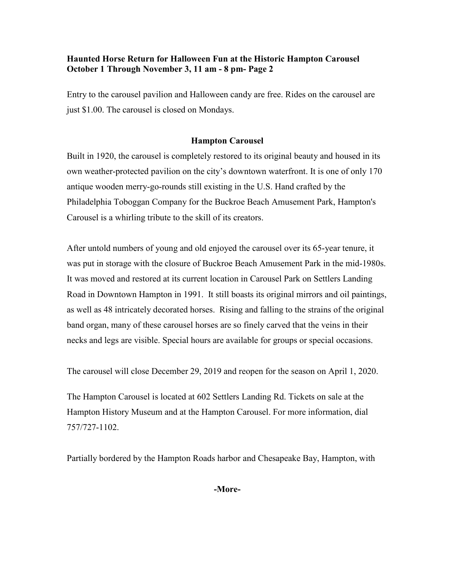# **Haunted Horse Return for Halloween Fun at the Historic Hampton Carousel October 1 Through November 3, 11 am - 8 pm- Page 2**

Entry to the carousel pavilion and Halloween candy are free. Rides on the carousel are just \$1.00. The carousel is closed on Mondays.

### **Hampton Carousel**

Built in 1920, the carousel is completely restored to its original beauty and housed in its own weather-protected pavilion on the city's downtown waterfront. It is one of only 170 antique wooden merry-go-rounds still existing in the U.S. Hand crafted by the Philadelphia Toboggan Company for the Buckroe Beach Amusement Park, Hampton's Carousel is a whirling tribute to the skill of its creators.

After untold numbers of young and old enjoyed the carousel over its 65-year tenure, it was put in storage with the closure of Buckroe Beach Amusement Park in the mid-1980s. It was moved and restored at its current location in Carousel Park on Settlers Landing Road in Downtown Hampton in 1991. It still boasts its original mirrors and oil paintings, as well as 48 intricately decorated horses. Rising and falling to the strains of the original band organ, many of these carousel horses are so finely carved that the veins in their necks and legs are visible. Special hours are available for groups or special occasions.

The carousel will close December 29, 2019 and reopen for the season on April 1, 2020.

The Hampton Carousel is located at 602 Settlers Landing Rd. Tickets on sale at the Hampton History Museum and at the Hampton Carousel. For more information, dial 757/727-1102.

Partially bordered by the Hampton Roads harbor and Chesapeake Bay, Hampton, with

**-More-**